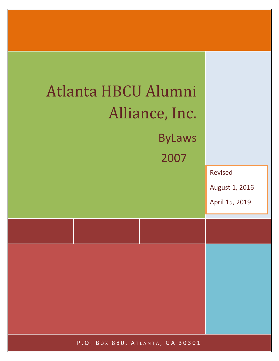

P.O. BOX 880, ATLANTA, GA 30301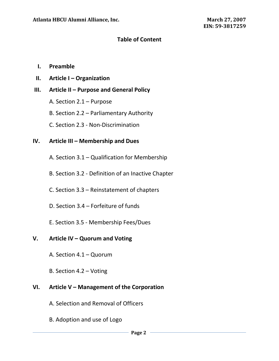## **Table of Content**

### **I. Preamble**

**II. Article I – Organization**

### **III. Article II – Purpose and General Policy**

- A. Section 2.1 Purpose
- B. Section 2.2 Parliamentary Authority
- C. Section 2.3 Non-Discrimination

## **IV. Article III – Membership and Dues**

- A. Section 3.1 Qualification for Membership
- B. Section 3.2 Definition of an Inactive Chapter
- C. Section 3.3 Reinstatement of chapters
- D. Section 3.4 Forfeiture of funds
- E. Section 3.5 Membership Fees/Dues

## **V. Article IV – Quorum and Voting**

- A. Section 4.1 Quorum
- B. Section 4.2 Voting

## **VI. Article V – Management of the Corporation**

- A. Selection and Removal of Officers
- B. Adoption and use of Logo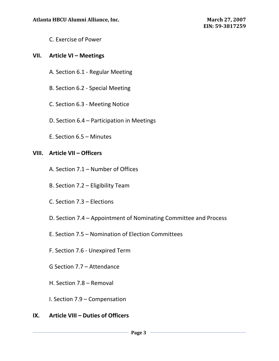C. Exercise of Power

## **VII. Article VI – Meetings**

- A. Section 6.1 Regular Meeting
- B. Section 6.2 Special Meeting
- C. Section 6.3 Meeting Notice
- D. Section 6.4 Participation in Meetings
- E. Section 6.5 Minutes

## **VIII. Article VII – Officers**

- A. Section 7.1 Number of Offices
- B. Section 7.2 Eligibility Team
- C. Section 7.3 Elections
- D. Section 7.4 Appointment of Nominating Committee and Process
- E. Section 7.5 Nomination of Election Committees
- F. Section 7.6 Unexpired Term
- G Section 7.7 Attendance
- H. Section 7.8 Removal
- I. Section 7.9 Compensation

## **IX. Article VIII – Duties of Officers**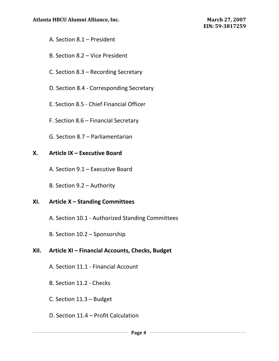- A. Section 8.1 President
- B. Section 8.2 Vice President
- C. Section 8.3 Recording Secretary
- D. Section 8.4 Corresponding Secretary
- E. Section 8.5 Chief Financial Officer
- F. Section 8.6 Financial Secretary
- G. Section 8.7 Parliamentarian

# **X. Article IX – Executive Board**

- A. Section 9.1 Executive Board
- B. Section 9.2 Authority

# **XI. Article X – Standing Committees**

- A. Section 10.1 Authorized Standing Committees
- B. Section 10.2 Sponsorship

# **XII. Article XI – Financial Accounts, Checks, Budget**

- A. Section 11.1 Financial Account
- B. Section 11.2 Checks
- C. Section 11.3 Budget
- D. Section 11.4 Profit Calculation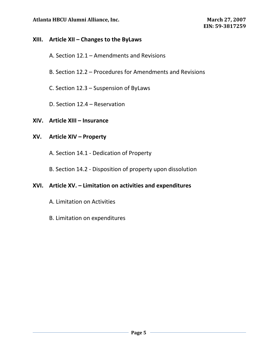## Atlanta HBCU Alumni Alliance, Inc. **March 27, 2007** March 27, 2007

## **XIII. Article XII – Changes to the ByLaws**

- A. Section 12.1 Amendments and Revisions
- B. Section 12.2 Procedures for Amendments and Revisions
- C. Section 12.3 Suspension of ByLaws
- D. Section 12.4 Reservation

## **XIV. Article XIII – Insurance**

## **XV. Article XIV – Property**

A. Section 14.1 - Dedication of Property

B. Section 14.2 - Disposition of property upon dissolution

## **XVI. Article XV. – Limitation on activities and expenditures**

- A. Limitation on Activities
- B. Limitation on expenditures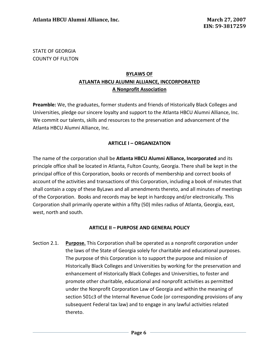## STATE OF GEORGIA COUNTY OF FULTON

## **BYLAWS OF ATLANTA HBCU ALUMNI ALLIANCE, INCCORPORATED A Nonprofit Association**

**Preamble:** We, the graduates, former students and friends of Historically Black Colleges and Universities, pledge our sincere loyalty and support to the Atlanta HBCU Alumni Alliance, Inc. We commit our talents, skills and resources to the preservation and advancement of the Atlanta HBCU Alumni Alliance, Inc.

### **ARTICLE I – ORGANIZATION**

The name of the corporation shall be **Atlanta HBCU Alumni Alliance, Incorporated** and its principle office shall be located in Atlanta, Fulton County, Georgia. There shall be kept in the principal office of this Corporation, books or records of membership and correct books of account of the activities and transactions of this Corporation, including a book of minutes that shall contain a copy of these ByLaws and all amendments thereto, and all minutes of meetings of the Corporation. Books and records may be kept in hardcopy and/or electronically. This Corporation shall primarily operate within a fifty (50) miles radius of Atlanta, Georgia, east, west, north and south.

#### **ARTICLE II – PURPOSE AND GENERAL POLICY**

Section 2.1. **Purpose.** This Corporation shall be operated as a nonprofit corporation under the laws of the State of Georgia solely for charitable and educational purposes. The purpose of this Corporation is to support the purpose and mission of Historically Black Colleges and Universities by working for the preservation and enhancement of Historically Black Colleges and Universities, to foster and promote other charitable, educational and nonprofit activities as permitted under the Nonprofit Corporation Law of Georgia and within the meaning of section 501c3 of the Internal Revenue Code (or corresponding provisions of any subsequent Federal tax law) and to engage in any lawful activities related thereto.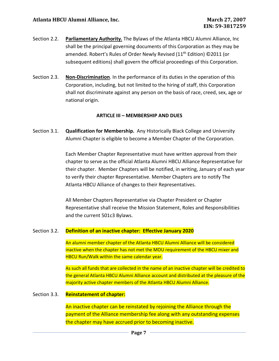- Section 2.2. **Parliamentary Authority.** The Bylaws of the Atlanta HBCU Alumni Alliance, Inc shall be the principal governing documents of this Corporation as they may be amended. Robert's Rules of Order Newly Revised (11<sup>th</sup> Edition) ©2011 (or subsequent editions) shall govern the official proceedings of this Corporation.
- Section 2.3. **Non-Discrimination**. In the performance of its duties in the operation of this Corporation, including, but not limited to the hiring of staff, this Corporation shall not discriminate against any person on the basis of race, creed, sex, age or national origin.

#### **ARTICLE III – MEMBERSHIP AND DUES**

Section 3.1. **Qualification for Membership.** Any Historically Black College and University Alumni Chapter is eligible to become a Member Chapter of the Corporation.

> Each Member Chapter Representative must have written approval from their chapter to serve as the official Atlanta Alumni HBCU Alliance Representative for their chapter. Member Chapters will be notified, in writing, January of each year to verify their chapter Representative. Member Chapters are to notify The Atlanta HBCU Alliance of changes to their Representatives.

All Member Chapters Representative via Chapter President or Chapter Representative shall receive the Mission Statement, Roles and Responsibilities and the current 501c3 Bylaws.

#### Section 3.2. **Definition of an inactive chapter: Effective January 2020**

An alumni member chapter of the Atlanta HBCU Alumni Alliance will be considered inactive when the chapter has not met the MOU requirement of the HBCU mixer and HBCU Run/Walk within the same calendar year.

As such all funds that are collected in the name of an inactive chapter will be credited to the general Atlanta HBCU Alumni Alliance account and distributed at the pleasure of the majority active chapter members of the Atlanta HBCU Alumni Alliance.

#### Section 3.3. **Reinstatement of chapter:**

An inactive chapter can be reinstated by rejoining the Alliance through the payment of the Alliance membership fee along with any outstanding expenses the chapter may have accrued prior to becoming inactive.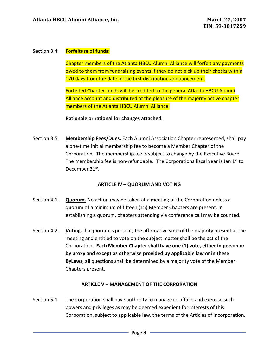#### Section 3.4. **Forfeiture of funds:**

Chapter members of the Atlanta HBCU Alumni Alliance will forfeit any payments owed to them from fundraising events if they do not pick up their checks within 120 days from the date of the first distribution announcement.

Forfeited Chapter funds will be credited to the general Atlanta HBCU Alumni Alliance account and distributed at the pleasure of the majority active chapter members of the Atlanta HBCU Alumni Alliance.

#### **Rationale or rational for changes attached.**

Section 3.5. **Membership Fees/Dues.** Each Alumni Association Chapter represented, shall pay a one-time initial membership fee to become a Member Chapter of the Corporation. The membership fee is subject to change by the Executive Board. The membership fee is non-refundable. The Corporations fiscal year is Jan  $1<sup>st</sup>$  to December 31st.

#### **ARTICLE IV – QUORUM AND VOTING**

- Section 4.1. **Quorum.** No action may be taken at a meeting of the Corporation unless a quorum of a minimum of fifteen (15) Member Chapters are present. In establishing a quorum, chapters attending via conference call may be counted.
- Section 4.2. **Voting.** If a quorum is present, the affirmative vote of the majority present at the meeting and entitled to vote on the subject matter shall be the act of the Corporation. **Each Member Chapter shall have one (1) vote, either in person or by proxy and except as otherwise provided by applicable law or in these ByLaws**, all questions shall be determined by a majority vote of the Member Chapters present.

#### **ARTICLE V – MANAGEMENT OF THE CORPORATION**

Section 5.1. The Corporation shall have authority to manage its affairs and exercise such powers and privileges as may be deemed expedient for interests of this Corporation, subject to applicable law, the terms of the Articles of Incorporation,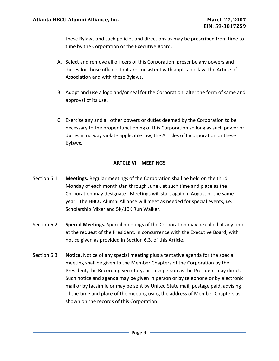these Bylaws and such policies and directions as may be prescribed from time to time by the Corporation or the Executive Board.

- A. Select and remove all officers of this Corporation, prescribe any powers and duties for those officers that are consistent with applicable law, the Article of Association and with these Bylaws.
- B. Adopt and use a logo and/or seal for the Corporation, alter the form of same and approval of its use.
- C. Exercise any and all other powers or duties deemed by the Corporation to be necessary to the proper functioning of this Corporation so long as such power or duties in no way violate applicable law, the Articles of Incorporation or these Bylaws.

#### **ARTCLE VI – MEETINGS**

- Section 6.1. **Meetings.** Regular meetings of the Corporation shall be held on the third Monday of each month (Jan through June), at such time and place as the Corporation may designate. Meetings will start again in August of the same year. The HBCU Alumni Alliance will meet as needed for special events, i.e., Scholarship Mixer and 5K/10K Run Walker.
- Section 6.2. **Special Meetings.** Special meetings of the Corporation may be called at any time at the request of the President, in concurrence with the Executive Board, with notice given as provided in Section 6.3. of this Article.
- Section 6.3. **Notice.** Notice of any special meeting plus a tentative agenda for the special meeting shall be given to the Member Chapters of the Corporation by the President, the Recording Secretary, or such person as the President may direct. Such notice and agenda may be given in person or by telephone or by electronic mail or by facsimile or may be sent by United State mail, postage paid, advising of the time and place of the meeting using the address of Member Chapters as shown on the records of this Corporation.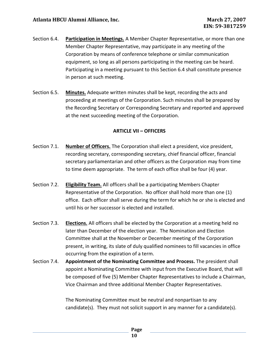- Section 6.4. **Participation in Meetings.** A Member Chapter Representative, or more than one Member Chapter Representative, may participate in any meeting of the Corporation by means of conference telephone or similar communication equipment, so long as all persons participating in the meeting can be heard. Participating in a meeting pursuant to this Section 6.4 shall constitute presence in person at such meeting.
- Section 6.5. **Minutes.** Adequate written minutes shall be kept, recording the acts and proceeding at meetings of the Corporation. Such minutes shall be prepared by the Recording Secretary or Corresponding Secretary and reported and approved at the next succeeding meeting of the Corporation.

### **ARTICLE VII – OFFICERS**

- Section 7.1. **Number of Officers.** The Corporation shall elect a president, vice president, recording secretary, corresponding secretary, chief financial officer, financial secretary parliamentarian and other officers as the Corporation may from time to time deem appropriate. The term of each office shall be four (4) year.
- Section 7.2. **Eligibility Team.** All officers shall be a participating Members Chapter Representative of the Corporation. No officer shall hold more than one (1) office. Each officer shall serve during the term for which he or she is elected and until his or her successor is elected and installed.
- Section 7.3. **Elections.** All officers shall be elected by the Corporation at a meeting held no later than December of the election year. The Nomination and Election Committee shall at the November or December meeting of the Corporation present, in writing, its slate of duly qualified nominees to fill vacancies in office occurring from the expiration of a term.
- Section 7.4. **Appointment of the Nominating Committee and Process.** The president shall appoint a Nominating Committee with input from the Executive Board, that will be composed of five (5) Member Chapter Representatives to include a Chairman, Vice Chairman and three additional Member Chapter Representatives.

The Nominating Committee must be neutral and nonpartisan to any candidate(s). They must not solicit support in any manner for a candidate(s).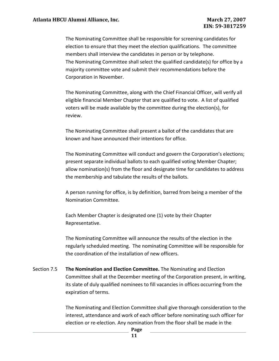The Nominating Committee shall be responsible for screening candidates for election to ensure that they meet the election qualifications. The committee members shall interview the candidates in person or by telephone. The Nominating Committee shall select the qualified candidate(s) for office by a majority committee vote and submit their recommendations before the Corporation in November.

The Nominating Committee, along with the Chief Financial Officer, will verify all eligible financial Member Chapter that are qualified to vote. A list of qualified voters will be made available by the committee during the election(s), for review.

The Nominating Committee shall present a ballot of the candidates that are known and have announced their intentions for office.

The Nominating Committee will conduct and govern the Corporation's elections; present separate individual ballots to each qualified voting Member Chapter; allow nomination(s) from the floor and designate time for candidates to address the membership and tabulate the results of the ballots.

A person running for office, is by definition, barred from being a member of the Nomination Committee.

Each Member Chapter is designated one (1) vote by their Chapter Representative.

The Nominating Committee will announce the results of the election in the regularly scheduled meeting. The nominating Committee will be responsible for the coordination of the installation of new officers.

Section 7.5 **The Nomination and Election Committee.** The Nominating and Election Committee shall at the December meeting of the Corporation present, in writing, its slate of duly qualified nominees to fill vacancies in offices occurring from the expiration of terms.

> The Nominating and Election Committee shall give thorough consideration to the interest, attendance and work of each officer before nominating such officer for election or re-election. Any nomination from the floor shall be made in the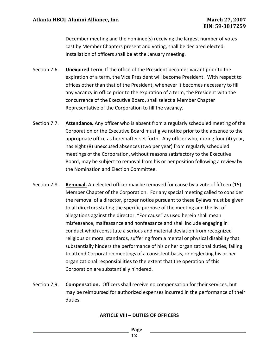December meeting and the nominee(s) receiving the largest number of votes cast by Member Chapters present and voting, shall be declared elected. Installation of officers shall be at the January meeting.

- Section 7.6. **Unexpired Term**. If the office of the President becomes vacant prior to the expiration of a term, the Vice President will become President. With respect to offices other than that of the President, whenever it becomes necessary to fill any vacancy in office prior to the expiration of a term, the President with the concurrence of the Executive Board, shall select a Member Chapter Representative of the Corporation to fill the vacancy.
- Section 7.7. **Attendance.** Any officer who is absent from a regularly scheduled meeting of the Corporation or the Executive Board must give notice prior to the absence to the appropriate office as hereinafter set forth. Any officer who, during four (4) year, has eight (8) unexcused absences (two per year) from regularly scheduled meetings of the Corporation, without reasons satisfactory to the Executive Board, may be subject to removal from his or her position following a review by the Nomination and Election Committee.
- Section 7.8. **Removal.** An elected officer may be removed for cause by a vote of fifteen (15) Member Chapter of the Corporation. For any special meeting called to consider the removal of a director, proper notice pursuant to these Bylaws must be given to all directors stating the specific purpose of the meeting and the list of allegations against the director. "For cause" as used herein shall mean misfeasance, malfeasance and nonfeasance and shall include engaging in conduct which constitute a serious and material deviation from recognized religious or moral standards, suffering from a mental or physical disability that substantially hinders the performance of his or her organizational duties, failing to attend Corporation meetings of a consistent basis, or neglecting his or her organizational responsibilities to the extent that the operation of this Corporation are substantially hindered.
- Section 7.9. **Compensation.** Officers shall receive no compensation for their services, but may be reimbursed for authorized expenses incurred in the performance of their duties.

#### **ARTICLE VIII – DUTIES OF OFFICERS**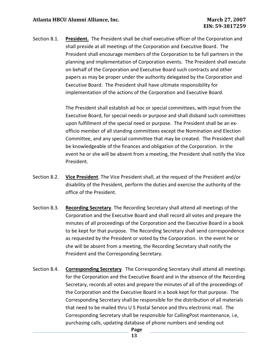Section 8.1. **President.** The President shall be chief executive officer of the Corporation and shall preside at all meetings of the Corporation and Executive Board. The President shall encourage members of the Corporation to be full partners in the planning and implementation of Corporation events. The President shall execute on behalf of the Corporation and Executive Board such contracts and other papers as may be proper under the authority delegated by the Corporation and Executive Board. The President shall have ultimate responsibility for implementation of the actions of the Corporation and Executive Board.

> The President shall establish ad hoc or special committees, with input from the Executive Board, for special needs or purpose and shall disband such committees upon fulfillment of the special need or purpose. The President shall be an exofficio member of all standing committees except the Nomination and Election Committee, and any special committee that may be created. The President shall be knowledgeable of the finances and obligation of the Corporation. In the event he or she will be absent from a meeting, the President shall notify the Vice President.

- Section 8.2. **Vice President**. The Vice President shall, at the request of the President and/or disability of the President, perform the duties and exercise the authority of the office of the President.
- Section 8.3. **Recording Secretary**. The Recording Secretary shall attend all meetings of the Corporation and the Executive Board and shall record all votes and prepare the minutes of all proceedings of the Corporation and the Executive Board in a book to be kept for that purpose. The Recording Secretary shall send correspondence as requested by the President or voted by the Corporation. In the event he or she will be absent from a meeting, the Recording Secretary shall notify the President and the Corresponding Secretary.
- Section 8.4. **Corresponding Secretary**. The Corresponding Secretary shall attend all meetings for the Corporation and the Executive Board and in the absence of the Recording Secretary, records all votes and prepare the minutes of all of the proceedings of the Corporation and the Executive Board in a book kept for that purpose. The Corresponding Secretary shall be responsible for the distribution of all materials that need to be mailed thru U S Postal Service and thru electronic mail. The Corresponding Secretary shall be responsible for CallingPost maintenance, i.e, purchasing calls, updating database of phone numbers and sending out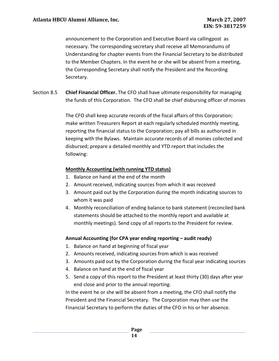announcement to the Corporation and Executive Board via callingpost as necessary. The corresponding secretary shall receive all Memorandums of Understanding for chapter events from the Financial Secretary to be distributed to the Member Chapters. In the event he or she will be absent from a meeting, the Corresponding Secretary shall notify the President and the Recording Secretary.

Section 8.5 **Chief Financial Officer.** The CFO shall have ultimate responsibility for managing the funds of this Corporation. The CFO shall be chief disbursing officer of monies

> The CFO shall keep accurate records of the fiscal affairs of this Corporation; make written Treasurers Report at each regularly scheduled monthly meeting, reporting the financial status to the Corporation; pay all bills as authorized in keeping with the Bylaws. Maintain accurate records of all monies collected and disbursed; prepare a detailed monthly and YTD report that includes the following:

## **Monthly Accounting (with running YTD status)**

- 1. Balance on hand at the end of the month
- 2. Amount received, indicating sources from which it was received
- 3. Amount paid out by the Corporation during the month indicating sources to whom it was paid
- 4. Monthly reconciliation of ending balance to bank statement (reconciled bank statements should be attached to the monthly report and available at monthly meetings). Send copy of all reports to the President for review.

## **Annual Accounting (for CPA year ending reporting – audit ready)**

- 1. Balance on hand at beginning of fiscal year
- 2. Amounts received, indicating sources from which is was received
- 3. Amounts paid out by the Corporation during the fiscal year indicating sources
- 4. Balance on hand at the end of fiscal year
- 5. Send a copy of this report to the President at least thirty (30) days after year end close and prior to the annual reporting.

In the event he or she will be absent from a meeting, the CFO shall notify the President and the Financial Secretary. The Corporation may then use the Financial Secretary to perform the duties of the CFO in his or her absence.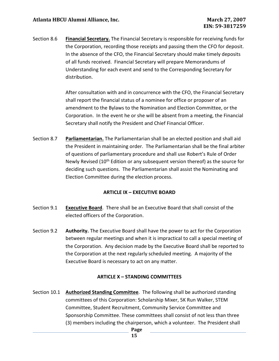Section 8.6 **Financial Secretary.** The Financial Secretary is responsible for receiving funds for the Corporation, recording those receipts and passing them the CFO for deposit. In the absence of the CFO, the Financial Secretary should make timely deposits of all funds received. Financial Secretary will prepare Memorandums of Understanding for each event and send to the Corresponding Secretary for distribution.

> After consultation with and in concurrence with the CFO, the Financial Secretary shall report the financial status of a nominee for office or proposer of an amendment to the Bylaws to the Nomination and Election Committee, or the Corporation. In the event he or she will be absent from a meeting, the Financial Secretary shall notify the President and Chief Financial Officer.

Section 8.7 **Parliamentarian.** The Parliamentarian shall be an elected position and shall aid the President in maintaining order. The Parliamentarian shall be the final arbiter of questions of parliamentary procedure and shall use Robert's Rule of Order Newly Revised ( $10<sup>th</sup>$  Edition or any subsequent version thereof) as the source for deciding such questions. The Parliamentarian shall assist the Nominating and Election Committee during the election process.

#### **ARTICLE IX – EXECUTIVE BOARD**

- Section 9.1 **Executive Board**. There shall be an Executive Board that shall consist of the elected officers of the Corporation.
- Section 9.2 **Authority.** The Executive Board shall have the power to act for the Corporation between regular meetings and when it is impractical to call a special meeting of the Corporation. Any decision made by the Executive Board shall be reported to the Corporation at the next regularly scheduled meeting. A majority of the Executive Board is necessary to act on any matter.

## **ARTICLE X – STANDING COMMITTEES**

**Page**  Section 10.1 **Authorized Standing Committee**. The following shall be authorized standing committees of this Corporation: Scholarship Mixer, 5K Run Walker, STEM Committee, Student Recruitment, Community Service Committee and Sponsorship Committee. These committees shall consist of not less than three (3) members including the chairperson, which a volunteer. The President shall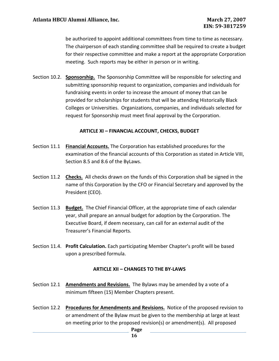be authorized to appoint additional committees from time to time as necessary. The chairperson of each standing committee shall be required to create a budget for their respective committee and make a report at the appropriate Corporation meeting. Such reports may be either in person or in writing.

Section 10.2. **Sponsorship.** The Sponsorship Committee will be responsible for selecting and submitting sponsorship request to organization, companies and individuals for fundraising events in order to increase the amount of money that can be provided for scholarships for students that will be attending Historically Black Colleges or Universities. Organizations, companies, and individuals selected for request for Sponsorship must meet final approval by the Corporation.

#### **ARTICLE XI – FINANCIAL ACCOUNT, CHECKS, BUDGET**

- Section 11.1 **Financial Accounts.** The Corporation has established procedures for the examination of the financial accounts of this Corporation as stated in Article VIII, Section 8.5 and 8.6 of the ByLaws.
- Section 11.2 **Checks.** All checks drawn on the funds of this Corporation shall be signed in the name of this Corporation by the CFO or Financial Secretary and approved by the President (CEO).
- Section 11.3 **Budget.** The Chief Financial Officer, at the appropriate time of each calendar year, shall prepare an annual budget for adoption by the Corporation. The Executive Board, if deem necessary, can call for an external audit of the Treasurer's Financial Reports.
- Section 11.4. **Profit Calculation.** Each participating Member Chapter's profit will be based upon a prescribed formula.

#### **ARTICLE XII – CHANGES TO THE BY-LAWS**

- Section 12.1 **Amendments and Revisions.** The Bylaws may be amended by a vote of a minimum fifteen (15) Member Chapters present.
- Section 12.2 **Procedures for Amendments and Revisions.** Notice of the proposed revision to or amendment of the Bylaw must be given to the membership at large at least on meeting prior to the proposed revision(s) or amendment(s). All proposed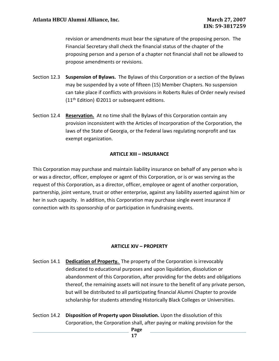revision or amendments must bear the signature of the proposing person. The Financial Secretary shall check the financial status of the chapter of the proposing person and a person of a chapter not financial shall not be allowed to propose amendments or revisions.

- Section 12.3 **Suspension of Bylaws.** The Bylaws of this Corporation or a section of the Bylaws may be suspended by a vote of fifteen (15) Member Chapters. No suspension can take place if conflicts with provisions in Roberts Rules of Order newly revised (11<sup>th</sup> Edition) ©2011 or subsequent editions.
- Section 12.4 **Reservation.** At no time shall the Bylaws of this Corporation contain any provision inconsistent with the Articles of Incorporation of the Corporation, the laws of the State of Georgia, or the Federal laws regulating nonprofit and tax exempt organization.

### **ARTICLE XIII – INSURANCE**

This Corporation may purchase and maintain liability insurance on behalf of any person who is or was a director, officer, employee or agent of this Corporation, or is or was serving as the request of this Corporation, as a director, officer, employee or agent of another corporation, partnership, joint venture, trust or other enterprise, against any liability asserted against him or her in such capacity. In addition, this Corporation may purchase single event insurance if connection with its sponsorship of or participation in fundraising events.

#### **ARTICLE XIV – PROPERTY**

- Section 14.1 **Dedication of Property.** The property of the Corporation is irrevocably dedicated to educational purposes and upon liquidation, dissolution or abandonment of this Corporation, after providing for the debts and obligations thereof, the remaining assets will not insure to the benefit of any private person, but will be distributed to all participating financial Alumni Chapter to provide scholarship for students attending Historically Black Colleges or Universities.
- Section 14.2 **Disposition of Property upon Dissolution.** Upon the dissolution of this Corporation, the Corporation shall, after paying or making provision for the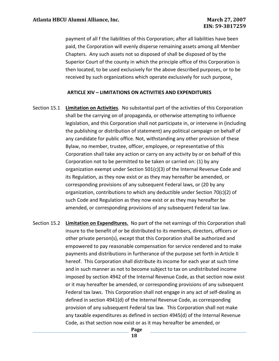payment of all f the liabilities of this Corporation; after all liabilities have been paid, the Corporation will evenly disperse remaining assets among all Member Chapters. Any such assets not so disposed of shall be disposed of by the Superior Court of the county in which the principle office of this Corporation is then located, to be used exclusively for the above described purposes, or to be received by such organizations which operate exclusively for such purpose.

#### **ARTICLE XIV – LIMITATIONS ON ACTIVITIES AND EXPENDITURES**

- Section 15.1 **Limitation on Activities**. No substantial part of the activities of this Corporation shall be the carrying on of propaganda, or otherwise attempting to influence legislation, and this Corporation shall not participate in, or intervene in (including the publishing or distribution of statement) any political campaign on behalf of any candidate for public office. Not, withstanding any other provision of these Bylaw, no member, trustee, officer, employee, or representative of this Corporation shall take any action or carry on any activity by or on behalf of this Corporation not to be permitted to be taken or carried on: (1) by any organization exempt under Section 501(c)(3) of the Internal Revenue Code and its Regulation, as they now exist or as they may hereafter be amended, or corresponding provisions of any subsequent Federal laws, or (20 by any organization, contributions to which any deductible under Section 70 $(c)(2)$  of such Code and Regulation as they now exist or as they may hereafter be amended, or corresponding provisions of any subsequent Federal tax law.
- Section 15.2 **Limitation on Expenditures.** No part of the net earnings of this Corporation shall insure to the benefit of or be distributed to its members, directors, officers or other private person(s), except that this Corporation shall be authorized and empowered to pay reasonable compensation for service rendered and to make payments and distributions in furtherance of the purpose set forth in Article II hereof. This Corporation shall distribute its income for each year at such time and in such manner as not to become subject to tax on undistributed income imposed by section 4942 of the Internal Revenue Code, as that section now exist or it may hereafter be amended, or corresponding provisions of any subsequent Federal tax laws. This Corporation shall not engage in any act of self-dealing as defined in section 4941(d) of the Internal Revenue Code, as corresponding provision of any subsequent Federal tax law. This Corporation shall not make any taxable expenditures as defined in section 4945(d) of the Internal Revenue Code, as that section now exist or as it may hereafter be amended, or